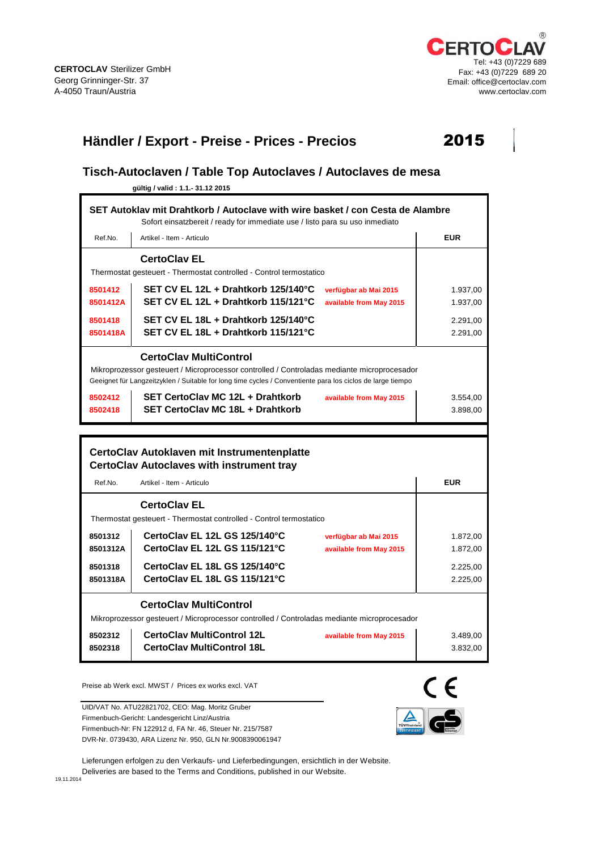

## **Händler / Export - Preise - Prices - Precios** 2015



## **Tisch-Autoclaven / Table Top Autoclaves / Autoclaves de mesa**

**gültig / valid : 1.1.- 31.12 2015**

|                                                                                                                                                                                                                                 | SET Autoklay mit Drahtkorb / Autoclave with wire basket / con Cesta de Alambre<br>Sofort einsatzbereit / ready for immediate use / listo para su uso inmediato |                      |  |  |  |  |
|---------------------------------------------------------------------------------------------------------------------------------------------------------------------------------------------------------------------------------|----------------------------------------------------------------------------------------------------------------------------------------------------------------|----------------------|--|--|--|--|
| Ref.No.                                                                                                                                                                                                                         | Artikel - Item - Articulo                                                                                                                                      | <b>EUR</b>           |  |  |  |  |
|                                                                                                                                                                                                                                 | <b>CertoClav EL</b><br>Thermostat gesteuert - Thermostat controlled - Control termostatico                                                                     |                      |  |  |  |  |
| 8501412<br>8501412A                                                                                                                                                                                                             | SET CV EL 12L + Drahtkorb 125/140°C<br>verfügbar ab Mai 2015<br>SET CV EL 12L + Drahtkorb 115/121°C<br>available from May 2015                                 | 1.937,00<br>1.937,00 |  |  |  |  |
| 8501418<br>8501418A                                                                                                                                                                                                             | SET CV EL 18L + Drahtkorb 125/140°C<br>SET CV EL 18L + Drahtkorb 115/121°C                                                                                     | 2.291,00<br>2.291,00 |  |  |  |  |
| Mikroprozessor gesteuert / Microprocessor controlled / Controladas mediante microprocesador<br>Geeignet für Langzeitzyklen / Suitable for long time cycles / Conventiente para los ciclos de large tiempo<br>8502412<br>8502418 | 3.554,00<br>3.898,00                                                                                                                                           |                      |  |  |  |  |
|                                                                                                                                                                                                                                 |                                                                                                                                                                |                      |  |  |  |  |
|                                                                                                                                                                                                                                 | CertoClav Autoklaven mit Instrumentenplatte<br><b>CertoClav Autoclaves with instrument tray</b>                                                                |                      |  |  |  |  |
| Ref.No.                                                                                                                                                                                                                         | Artikel - Item - Articulo                                                                                                                                      | <b>EUR</b>           |  |  |  |  |
|                                                                                                                                                                                                                                 | <b>CertoClav EL</b><br>Thermostat gesteuert - Thermostat controlled - Control termostatico                                                                     |                      |  |  |  |  |
| 8501312<br>8501312A                                                                                                                                                                                                             | CertoClav EL 12L GS 125/140°C<br>verfügbar ab Mai 2015<br>CertoClav EL 12L GS 115/121°C<br>available from May 2015                                             | 1.872,00<br>1.872.00 |  |  |  |  |
| 8501318<br>8501318A                                                                                                                                                                                                             | CertoClav EL 18L GS 125/140°C<br>CertoClav EL 18L GS 115/121°C                                                                                                 | 2.225,00<br>2.225,00 |  |  |  |  |
|                                                                                                                                                                                                                                 | <b>CertoClav MultiControl</b><br>Mikroprozessor gesteuert / Microprocessor controlled / Controladas mediante microprocesador                                   |                      |  |  |  |  |
| 8502312<br>8502318                                                                                                                                                                                                              | <b>CertoClav MultiControl 12L</b><br>available from May 2015<br><b>CertoClav MultiControl 18L</b>                                                              | 3.489,00<br>3.832,00 |  |  |  |  |

Preise ab Werk excl. MWST / Prices ex works excl. VAT

UID/VAT No. ATU22821702, CEO: Mag. Moritz Gruber Firmenbuch-Gericht: Landesgericht Linz/Austria Firmenbuch-Nr: FN 122912 d, FA Nr. 46, Steuer Nr. 215/7587 DVR-Nr. 0739430, ARA Lizenz Nr. 950, GLN Nr.9008390061947



Lieferungen erfolgen zu den Verkaufs- und Lieferbedingungen, ersichtlich in der Website. Deliveries are based to the Terms and Conditions, published in our Website.